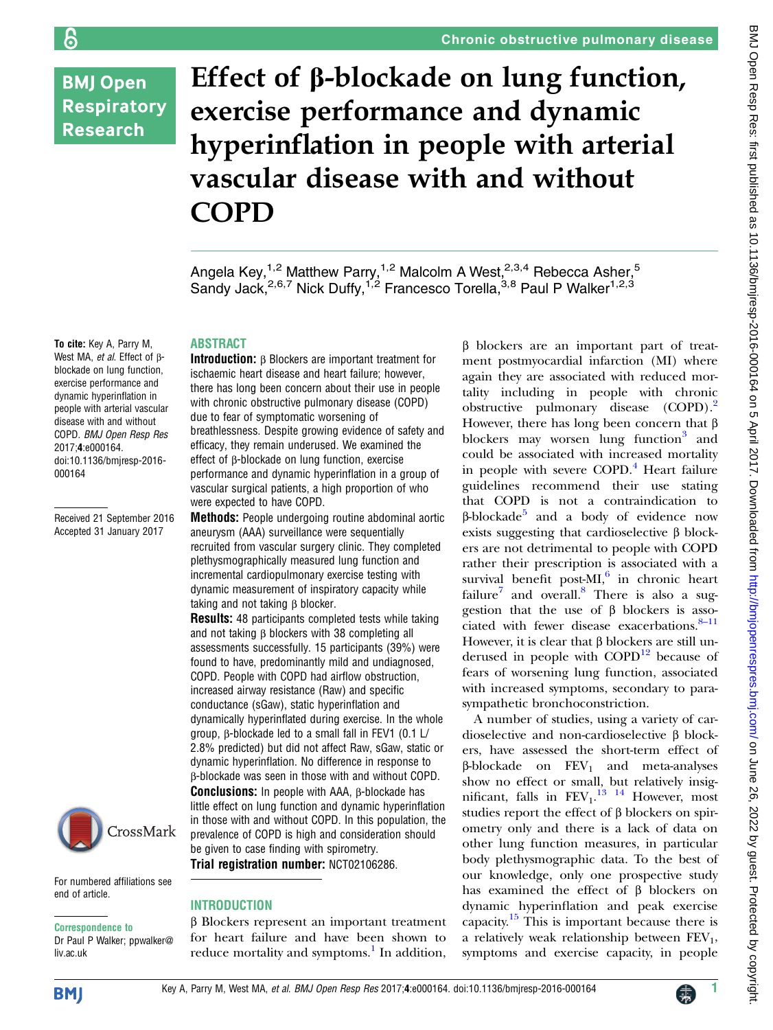# **BMJ Open Respiratory Research**

န

# Effect of β-blockade on lung function, exercise performance and dynamic hyperinflation in people with arterial vascular disease with and without COPD

Angela Key,<sup>1,2</sup> Matthew Parry,<sup>1,2</sup> Malcolm A West,<sup>2,3,4</sup> Rebecca Asher,<sup>5</sup> Sandy Jack,<sup>2,6,7</sup> Nick Duffy,<sup>1,2</sup> Francesco Torella,<sup>3,8</sup> Paul P Walker<sup>1,2,3</sup>

To cite: Key A, Parry M, West MA, et al. Effect of βblockade on lung function, exercise performance and dynamic hyperinflation in people with arterial vascular disease with and without COPD. BMJ Open Resp Res 2017;4:e000164. doi:10.1136/bmjresp-2016- 000164

Received 21 September 2016 Accepted 31 January 2017



For numbered affiliations see end of article.

Correspondence to Dr Paul P Walker; ppwalker@ liv.ac.uk

# ABSTRACT

Introduction: β Blockers are important treatment for ischaemic heart disease and heart failure; however, there has long been concern about their use in people with chronic obstructive pulmonary disease (COPD) due to fear of symptomatic worsening of breathlessness. Despite growing evidence of safety and efficacy, they remain underused. We examined the effect of β-blockade on lung function, exercise performance and dynamic hyperinflation in a group of vascular surgical patients, a high proportion of who were expected to have COPD.

Methods: People undergoing routine abdominal aortic aneurysm (AAA) surveillance were sequentially recruited from vascular surgery clinic. They completed plethysmographically measured lung function and incremental cardiopulmonary exercise testing with dynamic measurement of inspiratory capacity while taking and not taking β blocker.

Results: 48 participants completed tests while taking and not taking β blockers with 38 completing all assessments successfully. 15 participants (39%) were found to have, predominantly mild and undiagnosed, COPD. People with COPD had airflow obstruction, increased airway resistance (Raw) and specific conductance (sGaw), static hyperinflation and dynamically hyperinflated during exercise. In the whole group, β-blockade led to a small fall in FEV1 (0.1 L/ 2.8% predicted) but did not affect Raw, sGaw, static or dynamic hyperinflation. No difference in response to β-blockade was seen in those with and without COPD. Conclusions: In people with AAA, β-blockade has little effect on lung function and dynamic hyperinflation in those with and without COPD. In this population, the prevalence of COPD is high and consideration should be given to case finding with spirometry. Trial registration number: NCT02106286.

#### **INTRODUCTION**

β Blockers represent an important treatment for heart failure and have been shown to reduce mortality and symptoms.<sup>[1](#page-5-0)</sup> In addition, β blockers are an important part of treatment postmyocardial infarction (MI) where again they are associated with reduced mortality including in people with chronic obstructive pulmonary disease (COPD).<sup>2</sup> However, there has long been concern that β blockers may worsen lung function<sup>[3](#page-5-0)</sup> and could be associated with increased mortality in people with severe  $COPD<sup>4</sup>$  $COPD<sup>4</sup>$  $COPD<sup>4</sup>$  Heart failure guidelines recommend their use stating that COPD is not a contraindication to β-blockade<sup>[5](#page-5-0)</sup> and a body of evidence now exists suggesting that cardioselective β blockers are not detrimental to people with COPD rather their prescription is associated with a survival benefit post-MI $,6$  in chronic heart failure<sup>7</sup> and overall.<sup>[8](#page-5-0)</sup> There is also a suggestion that the use of β blockers is associated with fewer disease exacerbations. $8-11$  $8-11$ However, it is clear that β blockers are still underused in people with  $\text{COPD}^{12}$  $\text{COPD}^{12}$  $\text{COPD}^{12}$  because of fears of worsening lung function, associated with increased symptoms, secondary to parasympathetic bronchoconstriction.

A number of studies, using a variety of cardioselective and non-cardioselective β blockers, have assessed the short-term effect of  $β$ -blockade on  $FEV<sub>1</sub>$  and meta-analyses show no effect or small, but relatively insignificant, falls in  $FEV<sub>1</sub><sup>13</sup>$  <sup>14</sup> However, most studies report the effect of β blockers on spirometry only and there is a lack of data on other lung function measures, in particular body plethysmographic data. To the best of our knowledge, only one prospective study has examined the effect of β blockers on dynamic hyperinflation and peak exercise capacity[.15](#page-6-0) This is important because there is a relatively weak relationship between  $FEV<sub>1</sub>$ , symptoms and exercise capacity, in people

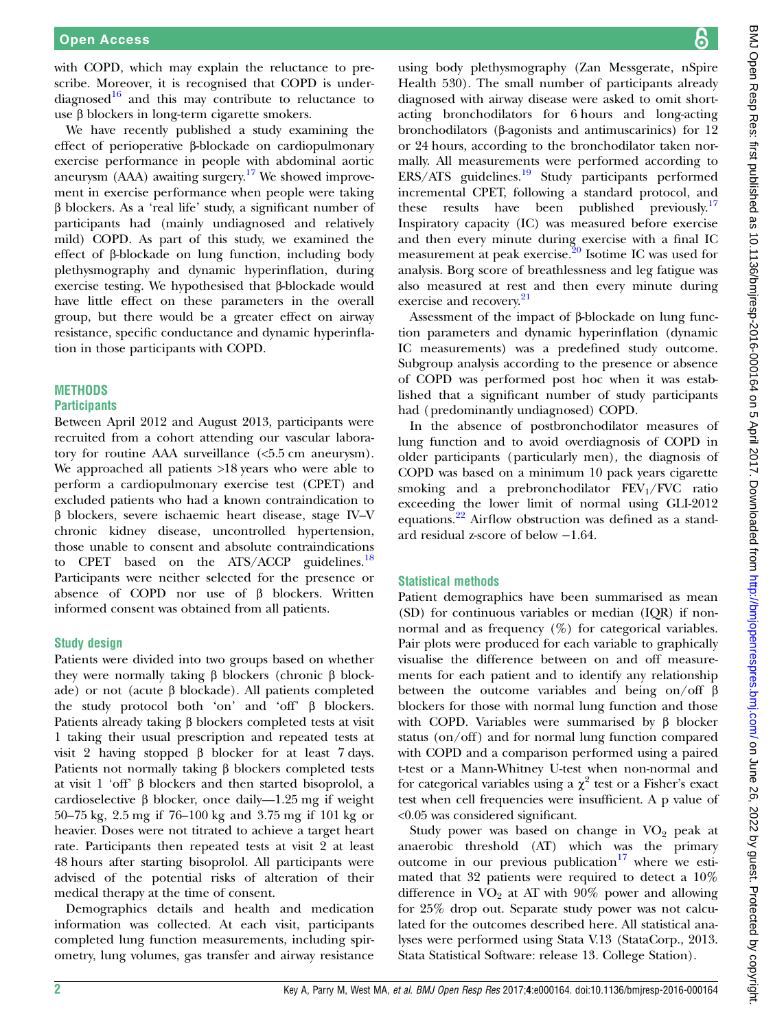with COPD, which may explain the reluctance to prescribe. Moreover, it is recognised that COPD is underdiagnosed $16$  and this may contribute to reluctance to use β blockers in long-term cigarette smokers.

We have recently published a study examining the effect of perioperative β-blockade on cardiopulmonary exercise performance in people with abdominal aortic aneurysm (AAA) awaiting surgery[.17](#page-6-0) We showed improvement in exercise performance when people were taking β blockers. As a 'real life' study, a significant number of participants had (mainly undiagnosed and relatively mild) COPD. As part of this study, we examined the effect of β-blockade on lung function, including body plethysmography and dynamic hyperinflation, during exercise testing. We hypothesised that β-blockade would have little effect on these parameters in the overall group, but there would be a greater effect on airway resistance, specific conductance and dynamic hyperinflation in those participants with COPD.

### **METHODS**

#### **Participants**

Between April 2012 and August 2013, participants were recruited from a cohort attending our vascular laboratory for routine AAA surveillance (<5.5 cm aneurysm). We approached all patients >18 years who were able to perform a cardiopulmonary exercise test (CPET) and excluded patients who had a known contraindication to β blockers, severe ischaemic heart disease, stage IV–V chronic kidney disease, uncontrolled hypertension, those unable to consent and absolute contraindications to CPET based on the ATS/ACCP guidelines.<sup>[18](#page-6-0)</sup> Participants were neither selected for the presence or absence of COPD nor use of β blockers. Written informed consent was obtained from all patients.

#### Study design

Patients were divided into two groups based on whether they were normally taking β blockers (chronic β blockade) or not (acute β blockade). All patients completed the study protocol both 'on' and 'off' β blockers. Patients already taking β blockers completed tests at visit 1 taking their usual prescription and repeated tests at visit 2 having stopped β blocker for at least 7 days. Patients not normally taking β blockers completed tests at visit 1 'off' β blockers and then started bisoprolol, a cardioselective β blocker, once daily—1.25 mg if weight 50–75 kg, 2.5 mg if 76–100 kg and 3.75 mg if 101 kg or heavier. Doses were not titrated to achieve a target heart rate. Participants then repeated tests at visit 2 at least 48 hours after starting bisoprolol. All participants were advised of the potential risks of alteration of their medical therapy at the time of consent.

Demographics details and health and medication information was collected. At each visit, participants completed lung function measurements, including spirometry, lung volumes, gas transfer and airway resistance

using body plethysmography (Zan Messgerate, nSpire Health 530). The small number of participants already diagnosed with airway disease were asked to omit shortacting bronchodilators for 6 hours and long-acting bronchodilators (β-agonists and antimuscarinics) for 12 or 24 hours, according to the bronchodilator taken normally. All measurements were performed according to  $ERS/ATS$  guidelines.<sup>[19](#page-6-0)</sup> Study participants performed incremental CPET, following a standard protocol, and these results have been published previously.<sup>[17](#page-6-0)</sup> Inspiratory capacity (IC) was measured before exercise and then every minute during exercise with a final IC measurement at peak exercise.<sup>[20](#page-6-0)</sup> Isotime IC was used for analysis. Borg score of breathlessness and leg fatigue was also measured at rest and then every minute during exercise and recovery.<sup>21</sup>

Assessment of the impact of β-blockade on lung function parameters and dynamic hyperinflation (dynamic IC measurements) was a predefined study outcome. Subgroup analysis according to the presence or absence of COPD was performed post hoc when it was established that a significant number of study participants had (predominantly undiagnosed) COPD.

In the absence of postbronchodilator measures of lung function and to avoid overdiagnosis of COPD in older participants (particularly men), the diagnosis of COPD was based on a minimum 10 pack years cigarette smoking and a prebronchodilator  $FEV<sub>1</sub>/FVC$  ratio exceeding the lower limit of normal using GLI-2012 equations.[22](#page-6-0) Airflow obstruction was defined as a standard residual z-score of below −1.64.

#### Statistical methods

Patient demographics have been summarised as mean (SD) for continuous variables or median (IQR) if nonnormal and as frequency (%) for categorical variables. Pair plots were produced for each variable to graphically visualise the difference between on and off measurements for each patient and to identify any relationship between the outcome variables and being on/off  $\beta$ blockers for those with normal lung function and those with COPD. Variables were summarised by β blocker status (on/off) and for normal lung function compared with COPD and a comparison performed using a paired t-test or a Mann-Whitney U-test when non-normal and for categorical variables using a  $\chi^2$  test or a Fisher's exact test when cell frequencies were insufficient. A p value of <0.05 was considered significant.

Study power was based on change in  $VO<sub>2</sub>$  peak at anaerobic threshold (AT) which was the primary outcome in our previous publication $17$  where we estimated that 32 patients were required to detect a 10% difference in  $VO<sub>2</sub>$  at AT with  $90\%$  power and allowing for 25% drop out. Separate study power was not calculated for the outcomes described here. All statistical analyses were performed using Stata V.13 (StataCorp., 2013. Stata Statistical Software: release 13. College Station).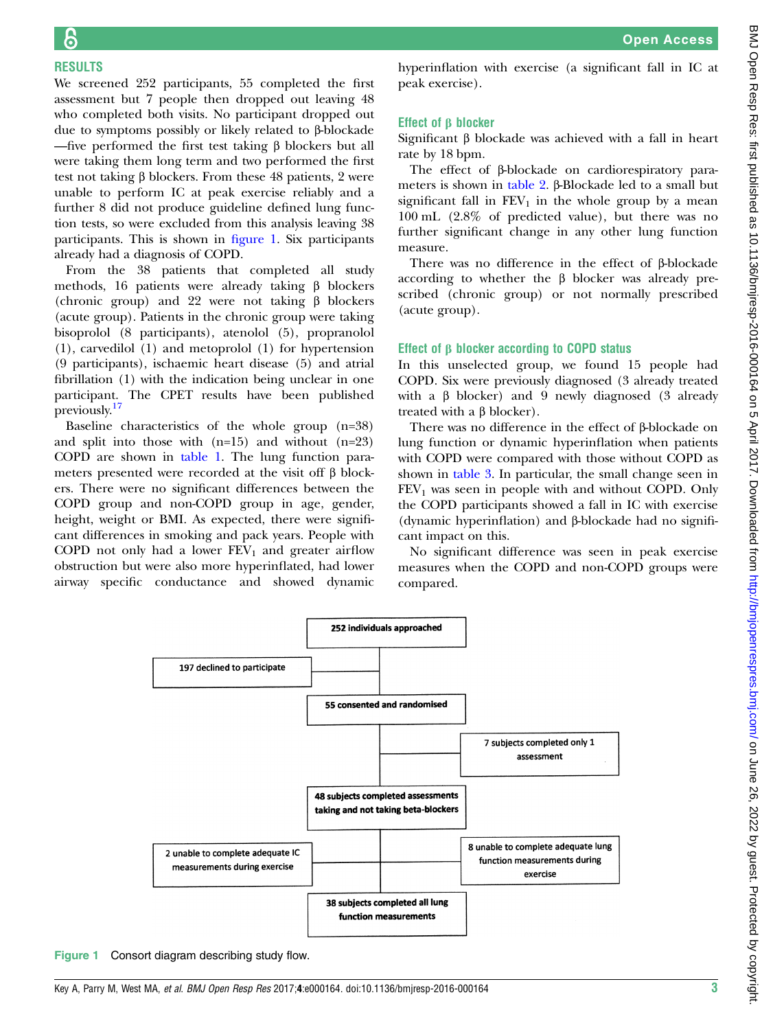RESULTS We screened 252 participants, 55 completed the first assessment but 7 people then dropped out leaving 48 who completed both visits. No participant dropped out due to symptoms possibly or likely related to β-blockade —five performed the first test taking β blockers but all were taking them long term and two performed the first test not taking β blockers. From these 48 patients, 2 were unable to perform IC at peak exercise reliably and a further 8 did not produce guideline defined lung function tests, so were excluded from this analysis leaving 38 participants. This is shown in figure 1. Six participants already had a diagnosis of COPD.

From the 38 patients that completed all study methods, 16 patients were already taking β blockers (chronic group) and 22 were not taking β blockers (acute group). Patients in the chronic group were taking bisoprolol (8 participants), atenolol (5), propranolol (1), carvedilol (1) and metoprolol (1) for hypertension (9 participants), ischaemic heart disease (5) and atrial fibrillation (1) with the indication being unclear in one participant. The CPET results have been published previously.<sup>[17](#page-6-0)</sup>

Baseline characteristics of the whole group (n=38) and split into those with  $(n=15)$  and without  $(n=23)$ COPD are shown in [table 1](#page-3-0). The lung function parameters presented were recorded at the visit off β blockers. There were no significant differences between the COPD group and non-COPD group in age, gender, height, weight or BMI. As expected, there were significant differences in smoking and pack years. People with COPD not only had a lower  $FEV<sub>1</sub>$  and greater airflow obstruction but were also more hyperinflated, had lower airway specific conductance and showed dynamic hyperinflation with exercise (a significant fall in IC at peak exercise).

# Effect of β blocker

Significant β blockade was achieved with a fall in heart rate by 18 bpm.

The effect of β-blockade on cardiorespiratory parameters is shown in [table 2.](#page-4-0) β-Blockade led to a small but significant fall in  $FEV_1$  in the whole group by a mean 100 mL (2.8% of predicted value), but there was no further significant change in any other lung function measure.

There was no difference in the effect of β-blockade according to whether the β blocker was already prescribed (chronic group) or not normally prescribed (acute group).

# Effect of β blocker according to COPD status

In this unselected group, we found 15 people had COPD. Six were previously diagnosed (3 already treated with a β blocker) and 9 newly diagnosed (3 already treated with a β blocker).

There was no difference in the effect of β-blockade on lung function or dynamic hyperinflation when patients with COPD were compared with those without COPD as shown in [table 3.](#page-4-0) In particular, the small change seen in  $FEV<sub>1</sub>$  was seen in people with and without COPD. Only the COPD participants showed a fall in IC with exercise (dynamic hyperinflation) and β-blockade had no significant impact on this.

No significant difference was seen in peak exercise measures when the COPD and non-COPD groups were compared.



Figure 1 Consort diagram describing study flow.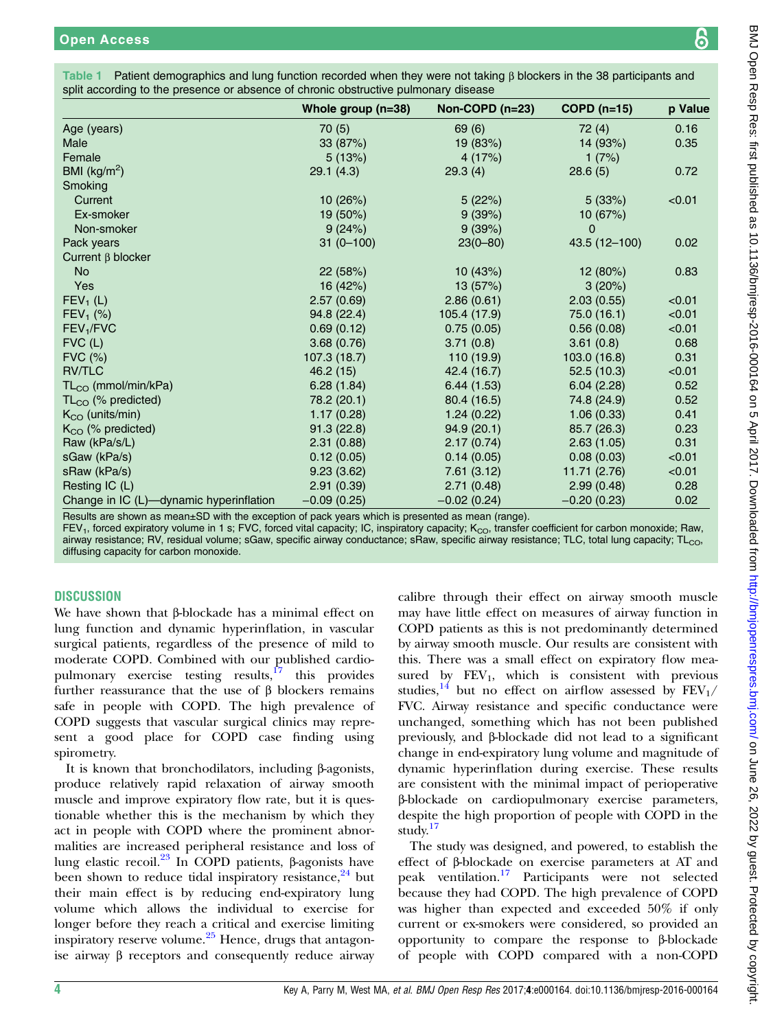|                                                                                                                                                                                                                                                                                 | Whole group $(n=38)$ | Non-COPD (n=23) | $COPD(n=15)$  | p Value |  |  |  |
|---------------------------------------------------------------------------------------------------------------------------------------------------------------------------------------------------------------------------------------------------------------------------------|----------------------|-----------------|---------------|---------|--|--|--|
| Age (years)                                                                                                                                                                                                                                                                     | 70(5)                | 69 (6)          | 72(4)         | 0.16    |  |  |  |
| Male                                                                                                                                                                                                                                                                            | 33 (87%)             | 19 (83%)        | 14 (93%)      | 0.35    |  |  |  |
| Female                                                                                                                                                                                                                                                                          | 5(13%)               | 4(17%)          | 1 $(7%)$      |         |  |  |  |
| BMI ( $\text{kg/m}^2$ )                                                                                                                                                                                                                                                         | 29.1(4.3)            | 29.3(4)         | 28.6(5)       | 0.72    |  |  |  |
| Smoking                                                                                                                                                                                                                                                                         |                      |                 |               |         |  |  |  |
| Current                                                                                                                                                                                                                                                                         | 10 (26%)             | 5(22%)          | 5(33%)        | < 0.01  |  |  |  |
| Ex-smoker                                                                                                                                                                                                                                                                       | $19(50\%)$           | 9(39%)          | 10 (67%)      |         |  |  |  |
| Non-smoker                                                                                                                                                                                                                                                                      | 9(24%)               | 9(39%)          | $\mathbf 0$   |         |  |  |  |
| Pack years                                                                                                                                                                                                                                                                      | $31(0-100)$          | $23(0 - 80)$    | 43.5 (12-100) | 0.02    |  |  |  |
| Current $\beta$ blocker                                                                                                                                                                                                                                                         |                      |                 |               |         |  |  |  |
| <b>No</b>                                                                                                                                                                                                                                                                       | 22 (58%)             | 10(43%)         | 12 (80%)      | 0.83    |  |  |  |
| Yes                                                                                                                                                                                                                                                                             | 16 (42%)             | 13 (57%)        | 3(20%)        |         |  |  |  |
| $FEV1$ (L)                                                                                                                                                                                                                                                                      | 2.57(0.69)           | 2.86(0.61)      | 2.03(0.55)    | < 0.01  |  |  |  |
| $FEV_1$ (%)                                                                                                                                                                                                                                                                     | 94.8 (22.4)          | 105.4 (17.9)    | 75.0 (16.1)   | < 0.01  |  |  |  |
| FEV <sub>1</sub> /FVC                                                                                                                                                                                                                                                           | 0.69(0.12)           | 0.75(0.05)      | 0.56(0.08)    | < 0.01  |  |  |  |
| $FVC$ (L)                                                                                                                                                                                                                                                                       | 3.68(0.76)           | 3.71(0.8)       | 3.61(0.8)     | 0.68    |  |  |  |
| <b>FVC (%)</b>                                                                                                                                                                                                                                                                  | 107.3 (18.7)         | 110 (19.9)      | 103.0 (16.8)  | 0.31    |  |  |  |
| <b>RV/TLC</b>                                                                                                                                                                                                                                                                   | 46.2 (15)            | 42.4 (16.7)     | 52.5(10.3)    | < 0.01  |  |  |  |
| TL <sub>CO</sub> (mmol/min/kPa)                                                                                                                                                                                                                                                 | 6.28(1.84)           | 6.44(1.53)      | 6.04(2.28)    | 0.52    |  |  |  |
| $TL_{CO}$ (% predicted)                                                                                                                                                                                                                                                         | 78.2 (20.1)          | 80.4 (16.5)     | 74.8 (24.9)   | 0.52    |  |  |  |
| $K_{CO}$ (units/min)                                                                                                                                                                                                                                                            | 1.17(0.28)           | 1.24(0.22)      | 1.06(0.33)    | 0.41    |  |  |  |
| $K_{\rm CO}$ (% predicted)                                                                                                                                                                                                                                                      | 91.3(22.8)           | 94.9(20.1)      | 85.7 (26.3)   | 0.23    |  |  |  |
| Raw (kPa/s/L)                                                                                                                                                                                                                                                                   | 2.31(0.88)           | 2.17(0.74)      | 2.63(1.05)    | 0.31    |  |  |  |
| sGaw (kPa/s)                                                                                                                                                                                                                                                                    | 0.12(0.05)           | 0.14(0.05)      | 0.08(0.03)    | < 0.01  |  |  |  |
| sRaw (kPa/s)                                                                                                                                                                                                                                                                    | 9.23(3.62)           | 7.61(3.12)      | 11.71 (2.76)  | < 0.01  |  |  |  |
| Resting IC (L)                                                                                                                                                                                                                                                                  | 2.91(0.39)           | 2.71(0.48)      | 2.99(0.48)    | 0.28    |  |  |  |
| Change in IC (L)-dynamic hyperinflation                                                                                                                                                                                                                                         | $-0.09(0.25)$        | $-0.02(0.24)$   | $-0.20(0.23)$ | 0.02    |  |  |  |
| Results are shown as mean±SD with the exception of pack years which is presented as mean (range).<br>FEV <sub>1</sub> , forced expiratory volume in 1 s; FVC, forced vital capacity; IC, inspiratory capacity; K <sub>CO</sub> , transfer coefficient for carbon monoxide; Raw, |                      |                 |               |         |  |  |  |

<span id="page-3-0"></span>Table 1 Patient demographics and lung function recorded when they were not taking β blockers in the 38 participants and split accord

FEV<sub>1</sub>, forced expiratory volume in 1 s; FVC, forced vital capacity; IC, inspiratory capacity; K<sub>cO</sub>, transfer coefficient for carbon monoxide; Raw, airway resistance; RV, residual volume; sGaw, specific airway conductance; sRaw, specific airway resistance; TLC, total lung capacity; TL $_{\rm CO}$ , diffusing capacity for carbon monoxide.

# **DISCUSSION**

We have shown that β-blockade has a minimal effect on lung function and dynamic hyperinflation, in vascular surgical patients, regardless of the presence of mild to moderate COPD. Combined with our published cardiopulmonary exercise testing results, $17$  this provides further reassurance that the use of β blockers remains safe in people with COPD. The high prevalence of COPD suggests that vascular surgical clinics may represent a good place for COPD case finding using spirometry.

It is known that bronchodilators, including β-agonists, produce relatively rapid relaxation of airway smooth muscle and improve expiratory flow rate, but it is questionable whether this is the mechanism by which they act in people with COPD where the prominent abnormalities are increased peripheral resistance and loss of lung elastic recoil.[23](#page-6-0) In COPD patients, β-agonists have been shown to reduce tidal inspiratory resistance,  $24$  but their main effect is by reducing end-expiratory lung volume which allows the individual to exercise for longer before they reach a critical and exercise limiting inspiratory reserve volume. $25$  Hence, drugs that antagonise airway β receptors and consequently reduce airway

calibre through their effect on airway smooth muscle may have little effect on measures of airway function in COPD patients as this is not predominantly determined by airway smooth muscle. Our results are consistent with this. There was a small effect on expiratory flow measured by  $FEV<sub>1</sub>$ , which is consistent with previous studies,<sup>[14](#page-5-0)</sup> but no effect on airflow assessed by  $FEV_1/$ FVC. Airway resistance and specific conductance were unchanged, something which has not been published previously, and β-blockade did not lead to a significant change in end-expiratory lung volume and magnitude of dynamic hyperinflation during exercise. These results are consistent with the minimal impact of perioperative β-blockade on cardiopulmonary exercise parameters, despite the high proportion of people with COPD in the study.[17](#page-6-0)

The study was designed, and powered, to establish the effect of β-blockade on exercise parameters at AT and peak ventilation.[17](#page-6-0) Participants were not selected because they had COPD. The high prevalence of COPD was higher than expected and exceeded 50% if only current or ex-smokers were considered, so provided an opportunity to compare the response to β-blockade of people with COPD compared with a non-COPD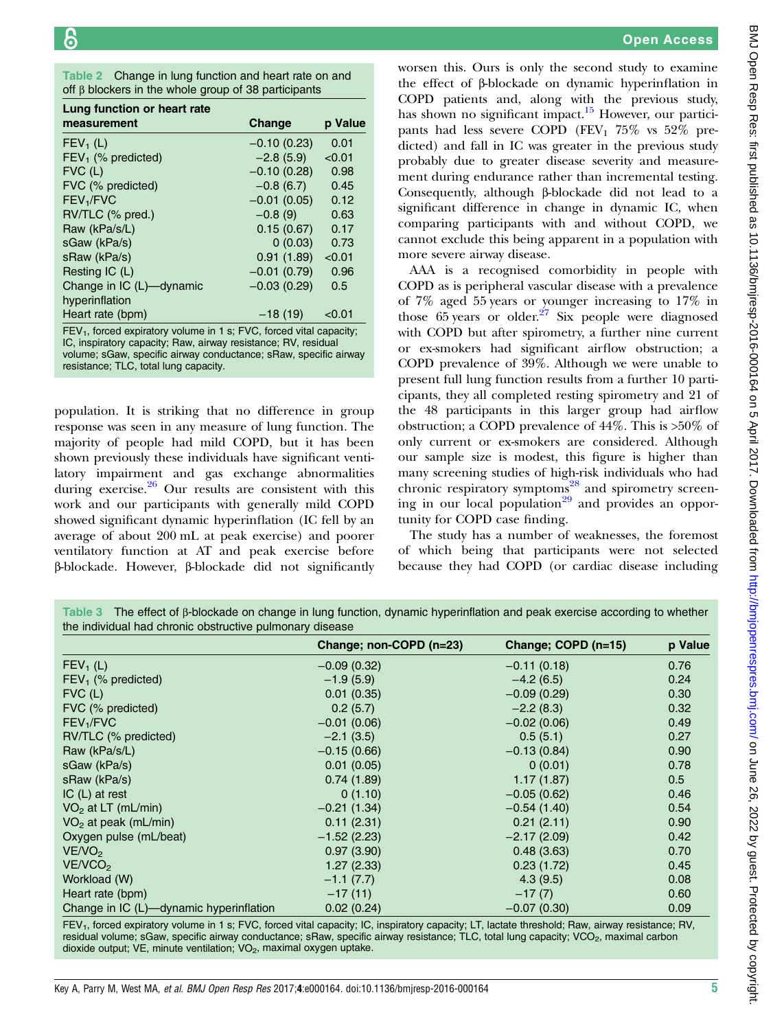<span id="page-4-0"></span>

| Table 2 Change in lung function and heart rate on and      |  |
|------------------------------------------------------------|--|
| off $\beta$ blockers in the whole group of 38 participants |  |

| Lung function or heart rate                                                                                                                       |               |         |  |  |  |
|---------------------------------------------------------------------------------------------------------------------------------------------------|---------------|---------|--|--|--|
| measurement                                                                                                                                       | Change        | p Value |  |  |  |
| $FEV1$ (L)                                                                                                                                        | $-0.10(0.23)$ | 0.01    |  |  |  |
| $FEV1$ (% predicted)                                                                                                                              | $-2.8(5.9)$   | < 0.01  |  |  |  |
| $FVC$ (L)                                                                                                                                         | $-0.10(0.28)$ | 0.98    |  |  |  |
| FVC (% predicted)                                                                                                                                 | $-0.8(6.7)$   | 0.45    |  |  |  |
| FEV <sub>1</sub> /FVC                                                                                                                             | $-0.01(0.05)$ | 0.12    |  |  |  |
| RV/TLC (% pred.)                                                                                                                                  | $-0.8(9)$     | 0.63    |  |  |  |
| Raw (kPa/s/L)                                                                                                                                     | 0.15(0.67)    | 0.17    |  |  |  |
| sGaw (kPa/s)                                                                                                                                      | 0(0.03)       | 0.73    |  |  |  |
| sRaw (kPa/s)                                                                                                                                      | 0.91(1.89)    | < 0.01  |  |  |  |
| Resting IC (L)                                                                                                                                    | $-0.01(0.79)$ | 0.96    |  |  |  |
| Change in IC (L)-dynamic                                                                                                                          | $-0.03(0.29)$ | 0.5     |  |  |  |
| hyperinflation                                                                                                                                    |               |         |  |  |  |
| Heart rate (bpm)                                                                                                                                  | $-18(19)$     | < 0.01  |  |  |  |
| FEV <sub>1</sub> , forced expiratory volume in 1 s; FVC, forced vital capacity;<br>IC, inspiratory capacity; Raw, airway resistance; RV, residual |               |         |  |  |  |

volume; sGaw, specific airway conductance; sRaw, specific airway resistance; TLC, total lung capacity.

population. It is striking that no difference in group response was seen in any measure of lung function. The majority of people had mild COPD, but it has been shown previously these individuals have significant ventilatory impairment and gas exchange abnormalities during exercise.<sup>[26](#page-6-0)</sup> Our results are consistent with this work and our participants with generally mild COPD showed significant dynamic hyperinflation (IC fell by an average of about 200 mL at peak exercise) and poorer ventilatory function at AT and peak exercise before β-blockade. However, β-blockade did not significantly worsen this. Ours is only the second study to examine the effect of β-blockade on dynamic hyperinflation in COPD patients and, along with the previous study, has shown no significant impact.<sup>15</sup> However, our participants had less severe COPD (FEV<sub>1</sub> 75% vs 52% predicted) and fall in IC was greater in the previous study probably due to greater disease severity and measurement during endurance rather than incremental testing. Consequently, although β-blockade did not lead to a significant difference in change in dynamic IC, when comparing participants with and without COPD, we cannot exclude this being apparent in a population with more severe airway disease.

AAA is a recognised comorbidity in people with COPD as is peripheral vascular disease with a prevalence of 7% aged 55 years or younger increasing to 17% in those  $65$  years or older.<sup>[27](#page-6-0)</sup> Six people were diagnosed with COPD but after spirometry, a further nine current or ex-smokers had significant airflow obstruction; a COPD prevalence of 39%. Although we were unable to present full lung function results from a further 10 participants, they all completed resting spirometry and 21 of the 48 participants in this larger group had airflow obstruction; a COPD prevalence of 44%. This is >50% of only current or ex-smokers are considered. Although our sample size is modest, this figure is higher than many screening studies of high-risk individuals who had chronic respiratory symptoms<sup>[28](#page-6-0)</sup> and spirometry screen-ing in our local population<sup>[29](#page-6-0)</sup> and provides an opportunity for COPD case finding.

The study has a number of weaknesses, the foremost of which being that participants were not selected because they had COPD (or cardiac disease including

Table 3 The effect of β-blockade on change in lung function, dynamic hyperinflation and peak exercise according to whether the individual had chronic obstructive pulmonary disease

|                                         | Change; non-COPD (n=23) | Change; COPD (n=15) | p Value |
|-----------------------------------------|-------------------------|---------------------|---------|
| $FEV_1(L)$                              | $-0.09(0.32)$           | $-0.11(0.18)$       | 0.76    |
| $FEV1$ (% predicted)                    | $-1.9(5.9)$             | $-4.2(6.5)$         | 0.24    |
| $FVC$ (L)                               | 0.01(0.35)              | $-0.09(0.29)$       | 0.30    |
| FVC (% predicted)                       | 0.2(5.7)                | $-2.2(8.3)$         | 0.32    |
| FEV <sub>1</sub> /FVC                   | $-0.01(0.06)$           | $-0.02(0.06)$       | 0.49    |
| RV/TLC (% predicted)                    | $-2.1(3.5)$             | 0.5(5.1)            | 0.27    |
| Raw (kPa/s/L)                           | $-0.15(0.66)$           | $-0.13(0.84)$       | 0.90    |
| sGaw (kPa/s)                            | 0.01(0.05)              | 0(0.01)             | 0.78    |
| sRaw (kPa/s)                            | 0.74(1.89)              | 1.17(1.87)          | 0.5     |
| $IC(L)$ at rest                         | 0(1.10)                 | $-0.05(0.62)$       | 0.46    |
| $VO2$ at LT (mL/min)                    | $-0.21(1.34)$           | $-0.54(1.40)$       | 0.54    |
| $VO2$ at peak (mL/min)                  | 0.11(2.31)              | 0.21(2.11)          | 0.90    |
| Oxygen pulse (mL/beat)                  | $-1.52(2.23)$           | $-2.17(2.09)$       | 0.42    |
| VENO <sub>2</sub>                       | 0.97(3.90)              | 0.48(3.63)          | 0.70    |
| VE/VCO <sub>2</sub>                     | 1.27(2.33)              | 0.23(1.72)          | 0.45    |
| Workload (W)                            | $-1.1(7.7)$             | 4.3(9.5)            | 0.08    |
| Heart rate (bpm)                        | $-17(11)$               | $-17(7)$            | 0.60    |
| Change in IC (L)-dynamic hyperinflation | 0.02(0.24)              | $-0.07(0.30)$       | 0.09    |

FEV<sub>1</sub>, forced expiratory volume in 1 s; FVC, forced vital capacity; IC, inspiratory capacity; LT, lactate threshold; Raw, airway resistance; RV, residual volume; sGaw, specific airway conductance; sRaw, specific airway resistance; TLC, total lung capacity; VCO<sub>2</sub>, maximal carbon dioxide output; VE, minute ventilation;  $VO<sub>2</sub>$ , maximal oxygen uptake.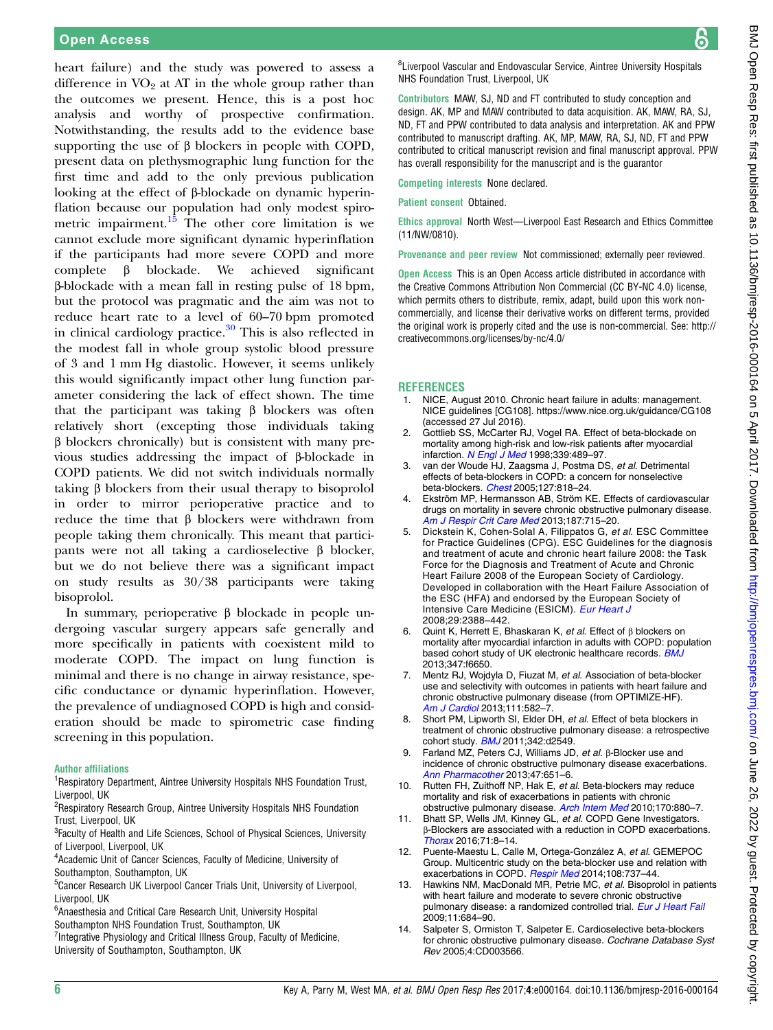<span id="page-5-0"></span>heart failure) and the study was powered to assess a difference in  $VO<sub>2</sub>$  at AT in the whole group rather than the outcomes we present. Hence, this is a post hoc analysis and worthy of prospective confirmation. Notwithstanding, the results add to the evidence base supporting the use of  $\beta$  blockers in people with COPD, present data on plethysmographic lung function for the first time and add to the only previous publication looking at the effect of β-blockade on dynamic hyperinflation because our population had only modest spirometric impairment. $15$  The other core limitation is we cannot exclude more significant dynamic hyperinflation if the participants had more severe COPD and more complete β blockade. We achieved significant β-blockade with a mean fall in resting pulse of 18 bpm, but the protocol was pragmatic and the aim was not to reduce heart rate to a level of 60–70 bpm promoted in clinical cardiology practice.<sup>[30](#page-6-0)</sup> This is also reflected in the modest fall in whole group systolic blood pressure of 3 and 1 mm Hg diastolic. However, it seems unlikely this would significantly impact other lung function parameter considering the lack of effect shown. The time that the participant was taking β blockers was often relatively short (excepting those individuals taking β blockers chronically) but is consistent with many previous studies addressing the impact of β-blockade in COPD patients. We did not switch individuals normally taking β blockers from their usual therapy to bisoprolol in order to mirror perioperative practice and to reduce the time that β blockers were withdrawn from people taking them chronically. This meant that participants were not all taking a cardioselective β blocker, but we do not believe there was a significant impact on study results as 30/38 participants were taking bisoprolol.

In summary, perioperative β blockade in people undergoing vascular surgery appears safe generally and more specifically in patients with coexistent mild to moderate COPD. The impact on lung function is minimal and there is no change in airway resistance, specific conductance or dynamic hyperinflation. However, the prevalence of undiagnosed COPD is high and consideration should be made to spirometric case finding screening in this population.

#### Author affiliations

<sup>1</sup> Respiratory Department, Aintree University Hospitals NHS Foundation Trust, Liverpool, UK

<sup>2</sup> Respiratory Research Group, Aintree University Hospitals NHS Foundation Trust, Liverpool, UK

<sup>3</sup>Faculty of Health and Life Sciences, School of Physical Sciences, University of Liverpool, Liverpool, UK

4 Academic Unit of Cancer Sciences, Faculty of Medicine, University of Southampton, Southampton, UK

<sup>5</sup> Cancer Research UK Liverpool Cancer Trials Unit, University of Liverpool, Liverpool, UK

6 Anaesthesia and Critical Care Research Unit, University Hospital Southampton NHS Foundation Trust, Southampton, UK

<sup>7</sup>Integrative Physiology and Critical Illness Group, Faculty of Medicine, University of Southampton, Southampton, UK

<sup>8</sup>Liverpool Vascular and Endovascular Service, Aintree University Hospitals NHS Foundation Trust, Liverpool, UK

Contributors MAW, SJ, ND and FT contributed to study conception and design. AK, MP and MAW contributed to data acquisition. AK, MAW, RA, SJ, ND, FT and PPW contributed to data analysis and interpretation. AK and PPW contributed to manuscript drafting. AK, MP, MAW, RA, SJ, ND, FT and PPW contributed to critical manuscript revision and final manuscript approval. PPW has overall responsibility for the manuscript and is the guarantor

Competing interests None declared.

Patient consent Obtained.

Ethics approval North West—Liverpool East Research and Ethics Committee (11/NW/0810).

Provenance and peer review Not commissioned; externally peer reviewed.

Open Access This is an Open Access article distributed in accordance with the Creative Commons Attribution Non Commercial (CC BY-NC 4.0) license, which permits others to distribute, remix, adapt, build upon this work noncommercially, and license their derivative works on different terms, provided the original work is properly cited and the use is non-commercial. See: [http://](http://creativecommons.org/licenses/by-nc/4.0/) [creativecommons.org/licenses/by-nc/4.0/](http://creativecommons.org/licenses/by-nc/4.0/)

#### **REFERENCES**

- 1. NICE, August 2010. Chronic heart failure in adults: management. NICE guidelines [CG108].<https://www.nice.org.uk/guidance/CG108> (accessed 27 Jul 2016).
- 2. Gottlieb SS, McCarter RJ, Vogel RA. Effect of beta-blockade on mortality among high-risk and low-risk patients after myocardial infarction. [N Engl J Med](http://dx.doi.org/10.1056/NEJM199808203390801) 1998;339:489-97.
- van der Woude HJ, Zaagsma J, Postma DS, et al. Detrimental effects of beta-blockers in COPD: a concern for nonselective beta-blockers. [Chest](http://dx.doi.org/10.1378/chest.127.3.818) 2005;127:818–24.
- 4. Ekström MP, Hermansson AB, Ström KE. Effects of cardiovascular drugs on mortality in severe chronic obstructive pulmonary disease. [Am J Respir Crit Care Med](http://dx.doi.org/10.1164/rccm.201208-1565OC) 2013;187:715–20.
- 5. Dickstein K, Cohen-Solal A, Filippatos G, et al. ESC Committee for Practice Guidelines (CPG). ESC Guidelines for the diagnosis and treatment of acute and chronic heart failure 2008: the Task Force for the Diagnosis and Treatment of Acute and Chronic Heart Failure 2008 of the European Society of Cardiology. Developed in collaboration with the Heart Failure Association of the ESC (HFA) and endorsed by the European Society of Intensive Care Medicine (ESICM). [Eur Heart J](http://dx.doi.org/10.1093/eurheartj/ehn309) 2008;29:2388–442.
- 6. Quint K, Herrett E, Bhaskaran K, et al. Effect of β blockers on mortality after myocardial infarction in adults with COPD: population based cohort study of UK electronic healthcare records. **[BMJ](http://dx.doi.org/10.1136/bmj.f6650)** 2013;347:f6650.
- 7. Mentz RJ, Wojdyla D, Fiuzat M, et al. Association of beta-blocker use and selectivity with outcomes in patients with heart failure and chronic obstructive pulmonary disease (from OPTIMIZE-HF). [Am J Cardiol](http://dx.doi.org/10.1016/j.amjcard.2012.10.041) 2013:111:582-7
- 8. Short PM, Lipworth SI, Elder DH, et al. Effect of beta blockers in treatment of chronic obstructive pulmonary disease: a retrospective cohort study. **[BMJ](http://dx.doi.org/10.1136/bmj.d2549)** 2011;342:d2549.
- 9. Farland MZ, Peters CJ, Williams JD, et al. β-Blocker use and incidence of chronic obstructive pulmonary disease exacerbations. [Ann Pharmacother](http://dx.doi.org/10.1345/aph.1R600) 2013;47:651-6.
- 10. Rutten FH, Zuithoff NP, Hak E, et al. Beta-blockers may reduce mortality and risk of exacerbations in patients with chronic obstructive pulmonary disease. [Arch Intern Med](http://dx.doi.org/10.1001/archinternmed.2010.112) 2010;170:880–7.
- 11. Bhatt SP, Wells JM, Kinney GL, et al. COPD Gene Investigators. β-Blockers are associated with a reduction in COPD exacerbations. [Thorax](http://dx.doi.org/10.1136/thoraxjnl-2015-207251) 2016;71:8–14.
- 12. Puente-Maestu L, Calle M, Ortega-González A, et al. GEMEPOC Group. Multicentric study on the beta-blocker use and relation with exacerbations in COPD. [Respir Med](http://dx.doi.org/10.1016/j.rmed.2014.02.009) 2014;108:737-44.
- 13. Hawkins NM, MacDonald MR, Petrie MC, et al. Bisoprolol in patients with heart failure and moderate to severe chronic obstructive pulmonary disease: a randomized controlled trial. [Eur J Heart Fail](http://dx.doi.org/10.1093/eurjhf/hfp066) 2009;11:684–90.
- 14. Salpeter S, Ormiston T, Salpeter E. Cardioselective beta-blockers for chronic obstructive pulmonary disease. Cochrane Database Syst Rev 2005;4:CD003566.